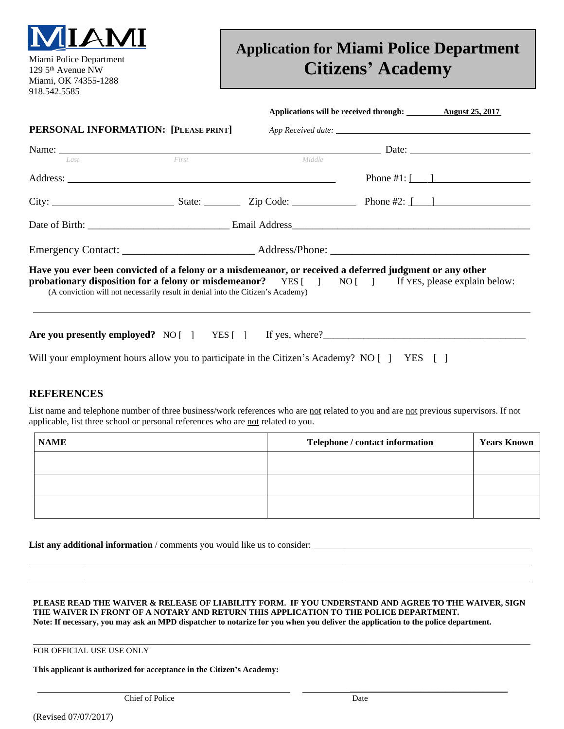

129 5th Avenue NW Miami, OK 74355-1288 918.542.5585

## **Application for Miami Police Department Citizens' Academy**

|                                                                                                                                                                                                                                                                                                         |       |        | Applications will be received through: <u>August 25, 2017</u> |  |
|---------------------------------------------------------------------------------------------------------------------------------------------------------------------------------------------------------------------------------------------------------------------------------------------------------|-------|--------|---------------------------------------------------------------|--|
| <b>PERSONAL INFORMATION:</b> [PLEASE PRINT] App Received date:                                                                                                                                                                                                                                          |       |        |                                                               |  |
| Name: Date: Date:                                                                                                                                                                                                                                                                                       |       |        |                                                               |  |
| Last                                                                                                                                                                                                                                                                                                    | First | Middle |                                                               |  |
|                                                                                                                                                                                                                                                                                                         |       |        |                                                               |  |
|                                                                                                                                                                                                                                                                                                         |       |        |                                                               |  |
|                                                                                                                                                                                                                                                                                                         |       |        |                                                               |  |
|                                                                                                                                                                                                                                                                                                         |       |        |                                                               |  |
| Have you ever been convicted of a felony or a misdemeanor, or received a deferred judgment or any other<br><b>probationary disposition for a felony or misdemeanor?</b> YES [ ] NO [ ] If YES, please explain below:<br>(A conviction will not necessarily result in denial into the Citizen's Academy) |       |        |                                                               |  |
| Are you presently employed? NO [ ] YES [ ] If yes, where?                                                                                                                                                                                                                                               |       |        |                                                               |  |

Will your employment hours allow you to participate in the Citizen's Academy? NO [ ] YES [ ]

## **REFERENCES**

 $\overline{a}$  $\overline{a}$ 

List name and telephone number of three business/work references who are not related to you and are not previous supervisors. If not applicable, list three school or personal references who are not related to you.

| <b>NAME</b> | Telephone / contact information | <b>Years Known</b> |
|-------------|---------------------------------|--------------------|
|             |                                 |                    |
|             |                                 |                    |
|             |                                 |                    |

List any additional information / comments you would like us to consider:

**PLEASE READ THE WAIVER & RELEASE OF LIABILITY FORM. IF YOU UNDERSTAND AND AGREE TO THE WAIVER, SIGN THE WAIVER IN FRONT OF A NOTARY AND RETURN THIS APPLICATION TO THE POLICE DEPARTMENT. Note: If necessary, you may ask an MPD dispatcher to notarize for you when you deliver the application to the police department.**

\_\_\_\_\_\_\_\_\_\_\_\_\_\_\_\_\_\_\_\_\_\_\_\_\_\_\_\_\_\_\_\_\_\_\_\_\_\_

**\_\_\_\_\_\_\_\_\_\_\_\_\_\_\_\_\_\_\_\_\_\_\_\_\_\_\_\_\_\_\_\_\_\_\_\_\_\_\_\_\_\_\_\_\_\_\_\_\_\_\_\_\_\_\_\_\_\_\_\_\_\_\_\_\_\_\_\_\_\_\_\_\_\_\_\_\_\_\_\_\_\_\_\_\_\_\_\_\_\_\_\_\_\_\_\_\_\_\_\_\_\_\_\_\_\_\_\_\_\_\_\_\_\_\_\_\_\_\_\_** FOR OFFICIAL USE USE ONLY

**This applicant is authorized for acceptance in the Citizen's Academy:**

**Chief of Police** Date